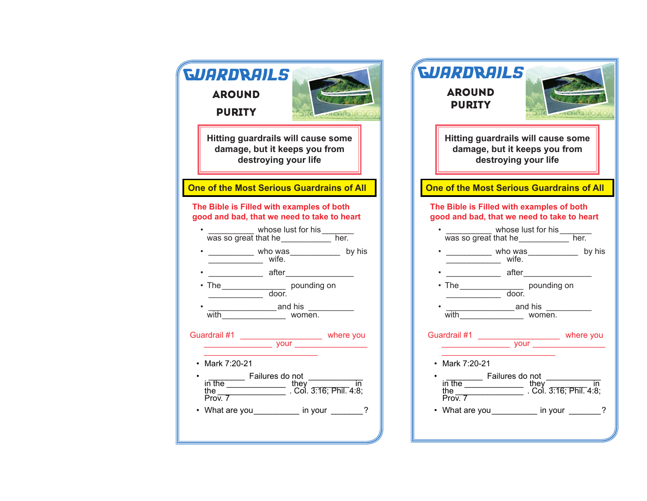| <i><b>GUARDRAILS</b></i>                                                | <b>GUARDRAILS</b>                                               |
|-------------------------------------------------------------------------|-----------------------------------------------------------------|
| <b>AROUND</b>                                                           | <b>AROUND</b>                                                   |
| <b>PURITY</b>                                                           | <b>PURITY</b>                                                   |
| $\sim$ $\sim$ $\sim$ $\sim$ $\sim$ $\sim$                               | $-100000$                                                       |
| Hitting guardrails will cause some                                      | Hitting guardrails will cause some                              |
| damage, but it keeps you from                                           | damage, but it keeps you from                                   |
| destroying your life                                                    | destroying your life                                            |
| One of the Most Serious Guardrains of All                               | One of the Most Serious Guardrains of All                       |
| The Bible is Filled with examples of both                               | The Bible is Filled with examples of both                       |
| good and bad, that we need to take to heart                             | good and bad, that we need to take to heart                     |
| whose lust for his ____________ her.                                    | whose lust for his was so great that he _______________ her.    |
| • ____________ who was ____________ by his                              | • __________ who was __________ by his                          |
| wife.                                                                   | wife.                                                           |
|                                                                         |                                                                 |
| • The _______________________ pounding on                               | • The ______________________ pounding on                        |
|                                                                         |                                                                 |
| with women.                                                             |                                                                 |
|                                                                         | • Mark 7:20-21                                                  |
| • Mark 7:20-21                                                          | in the Failures do not<br>they<br>the the Col. 3:16; Phil. 4:8; |
| in the Failures do not<br>the the they<br>Prov. 7 Col. 3:16; Phil. 4:8; | $Pro\overline{v}$ . $7$                                         |
| • What are you ___________ in your ______?                              | • What are you ___________ in your ______?                      |